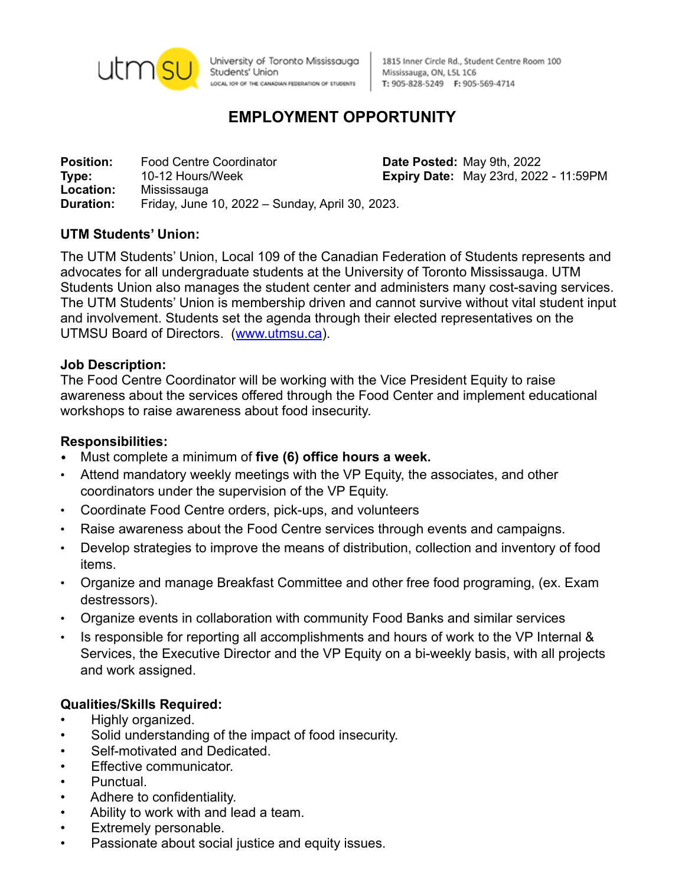

University of Toronto Mississauga Students' Union LOCAL IO9 OF THE CANADIAN FEDERATION OF STUDENTS

1815 Inner Circle Rd., Student Centre Room 100 Mississauga, ON, L5L 1C6 T: 905-828-5249 F: 905-569-4714

# **EMPLOYMENT OPPORTUNITY**

**Position:** Food Centre Coordinator **Date Posted:** May 9th, 2022 **Type:** 10-12 Hours/Week **Expiry Date:** May 23rd, 2022 - 11:59PM **Location:** Mississauga **Duration:** Friday, June 10, 2022 – Sunday, April 30, 2023.

# **UTM Students' Union:**

The UTM Students' Union, Local 109 of the Canadian Federation of Students represents and advocates for all undergraduate students at the University of Toronto Mississauga. UTM Students Union also manages the student center and administers many cost-saving services. The UTM Students' Union is membership driven and cannot survive without vital student input and involvement. Students set the agenda through their elected representatives on the UTMSU Board of Directors. ([www.utmsu.ca](http://www.utmsu.ca)).

## **Job Description:**

The Food Centre Coordinator will be working with the Vice President Equity to raise awareness about the services offered through the Food Center and implement educational workshops to raise awareness about food insecurity.

## **Responsibilities:**

- Must complete a minimum of **five (6) office hours a week.**
- Attend mandatory weekly meetings with the VP Equity, the associates, and other coordinators under the supervision of the VP Equity.
- Coordinate Food Centre orders, pick-ups, and volunteers
- Raise awareness about the Food Centre services through events and campaigns.
- Develop strategies to improve the means of distribution, collection and inventory of food items.
- Organize and manage Breakfast Committee and other free food programing, (ex. Exam destressors).
- Organize events in collaboration with community Food Banks and similar services
- Is responsible for reporting all accomplishments and hours of work to the VP Internal & Services, the Executive Director and the VP Equity on a bi-weekly basis, with all projects and work assigned.

## **Qualities/Skills Required:**

- Highly organized.
- Solid understanding of the impact of food insecurity.
- Self-motivated and Dedicated.
- Effective communicator.
- Punctual.
- Adhere to confidentiality.
- Ability to work with and lead a team.
- Extremely personable.
- Passionate about social justice and equity issues.